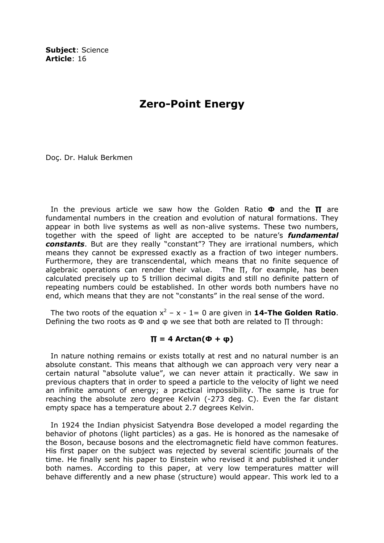Subject: Science Article: 16

## Zero-Point Energy

Doç. Dr. Haluk Berkmen

In the previous article we saw how the Golden Ratio  $\Phi$  and the  $\Pi$  are fundamental numbers in the creation and evolution of natural formations. They appear in both live systems as well as non-alive systems. These two numbers, together with the speed of light are accepted to be nature's **fundamental** constants. But are they really "constant"? They are irrational numbers, which means they cannot be expressed exactly as a fraction of two integer numbers. Furthermore, they are transcendental, which means that no finite sequence of algebraic operations can render their value. The  $\Pi$ , for example, has been calculated precisely up to 5 trillion decimal digits and still no definite pattern of repeating numbers could be established. In other words both numbers have no end, which means that they are not "constants" in the real sense of the word.

The two roots of the equation  $x^2 - x - 1 = 0$  are given in **14-The Golden Ratio**. Defining the two roots as  $\Phi$  and  $\Phi$  we see that both are related to  $\Pi$  through:

## $\Pi = 4$  Arctan(Φ + φ)

 In nature nothing remains or exists totally at rest and no natural number is an absolute constant. This means that although we can approach very very near a certain natural "absolute value", we can never attain it practically. We saw in previous chapters that in order to speed a particle to the velocity of light we need an infinite amount of energy; a practical impossibility. The same is true for reaching the absolute zero degree Kelvin (-273 deg. C). Even the far distant empty space has a temperature about 2.7 degrees Kelvin.

 In 1924 the Indian physicist Satyendra Bose developed a model regarding the behavior of photons (light particles) as a gas. He is honored as the namesake of the Boson, because bosons and the electromagnetic field have common features. His first paper on the subject was rejected by several scientific journals of the time. He finally sent his paper to Einstein who revised it and published it under both names. According to this paper, at very low temperatures matter will behave differently and a new phase (structure) would appear. This work led to a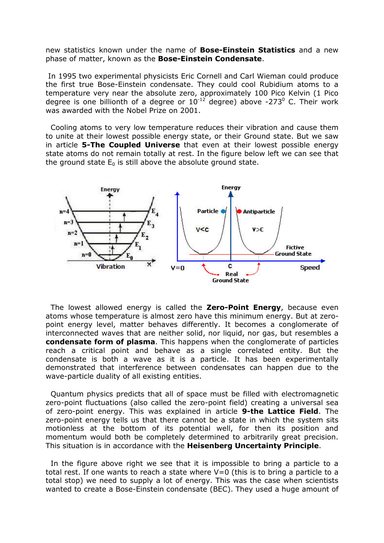new statistics known under the name of **Bose-Einstein Statistics** and a new phase of matter, known as the **Bose-Einstein Condensate**.

 In 1995 two experimental physicists Eric Cornell and Carl Wieman could produce the first true Bose-Einstein condensate. They could cool Rubidium atoms to a temperature very near the absolute zero, approximately 100 Pico Kelvin (1 Pico degree is one billionth of a degree or  $10^{-12}$  degree) above -273 $^0$  C. Their work was awarded with the Nobel Prize on 2001.

 Cooling atoms to very low temperature reduces their vibration and cause them to unite at their lowest possible energy state, or their Ground state. But we saw in article **5-The Coupled Universe** that even at their lowest possible energy state atoms do not remain totally at rest. In the figure below left we can see that the ground state  $E_0$  is still above the absolute ground state.



The lowest allowed energy is called the **Zero-Point Energy**, because even atoms whose temperature is almost zero have this minimum energy. But at zeropoint energy level, matter behaves differently. It becomes a conglomerate of interconnected waves that are neither solid, nor liquid, nor gas, but resembles a condensate form of plasma. This happens when the conglomerate of particles reach a critical point and behave as a single correlated entity. But the condensate is both a wave as it is a particle. It has been experimentally demonstrated that interference between condensates can happen due to the wave-particle duality of all existing entities.

 Quantum physics predicts that all of space must be filled with electromagnetic zero-point fluctuations (also called the zero-point field) creating a universal sea of zero-point energy. This was explained in article 9-the Lattice Field. The zero-point energy tells us that there cannot be a state in which the system sits motionless at the bottom of its potential well, for then its position and momentum would both be completely determined to arbitrarily great precision. This situation is in accordance with the Heisenberg Uncertainty Principle.

 In the figure above right we see that it is impossible to bring a particle to a total rest. If one wants to reach a state where  $V=0$  (this is to bring a particle to a total stop) we need to supply a lot of energy. This was the case when scientists wanted to create a Bose-Einstein condensate (BEC). They used a huge amount of